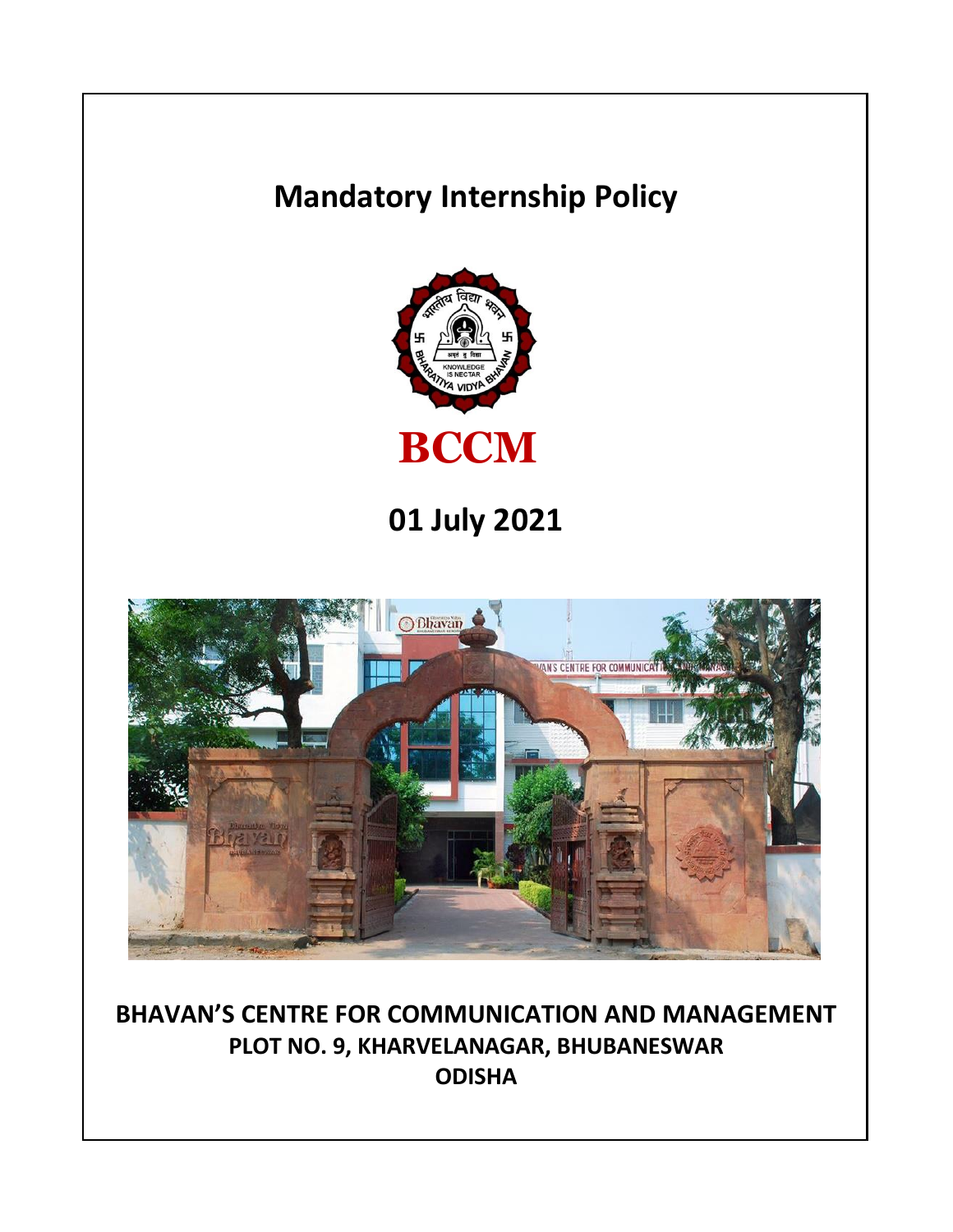# **Mandatory Internship Policy**



**01 July 2021**



**BHAVAN'S CENTRE FOR COMMUNICATION AND MANAGEMENT PLOT NO. 9, KHARVELANAGAR, BHUBANESWAR ODISHA**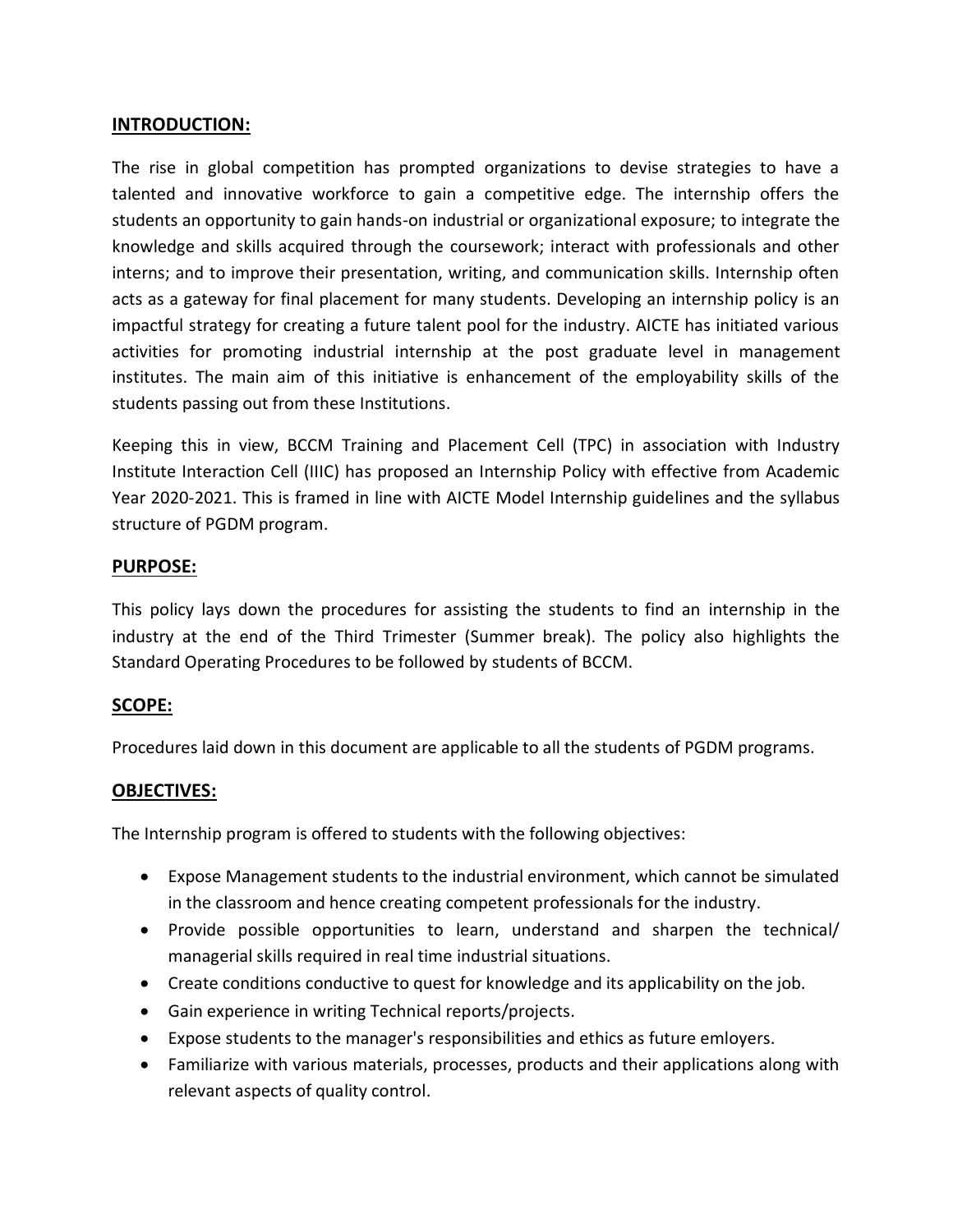## **INTRODUCTION:**

The rise in global competition has prompted organizations to devise strategies to have a talented and innovative workforce to gain a competitive edge. The internship offers the students an opportunity to gain hands-on industrial or organizational exposure; to integrate the knowledge and skills acquired through the coursework; interact with professionals and other interns; and to improve their presentation, writing, and communication skills. Internship often acts as a gateway for final placement for many students. Developing an internship policy is an impactful strategy for creating a future talent pool for the industry. AICTE has initiated various activities for promoting industrial internship at the post graduate level in management institutes. The main aim of this initiative is enhancement of the employability skills of the students passing out from these Institutions.

Keeping this in view, BCCM Training and Placement Cell (TPC) in association with Industry Institute Interaction Cell (IIIC) has proposed an Internship Policy with effective from Academic Year 2020-2021. This is framed in line with AICTE Model Internship guidelines and the syllabus structure of PGDM program.

## **PURPOSE:**

This policy lays down the procedures for assisting the students to find an internship in the industry at the end of the Third Trimester (Summer break). The policy also highlights the Standard Operating Procedures to be followed by students of BCCM.

#### **SCOPE:**

Procedures laid down in this document are applicable to all the students of PGDM programs.

#### **OBJECTIVES:**

The Internship program is offered to students with the following objectives:

- Expose Management students to the industrial environment, which cannot be simulated in the classroom and hence creating competent professionals for the industry.
- Provide possible opportunities to learn, understand and sharpen the technical/ managerial skills required in real time industrial situations.
- Create conditions conductive to quest for knowledge and its applicability on the job.
- Gain experience in writing Technical reports/projects.
- Expose students to the manager's responsibilities and ethics as future emloyers.
- Familiarize with various materials, processes, products and their applications along with relevant aspects of quality control.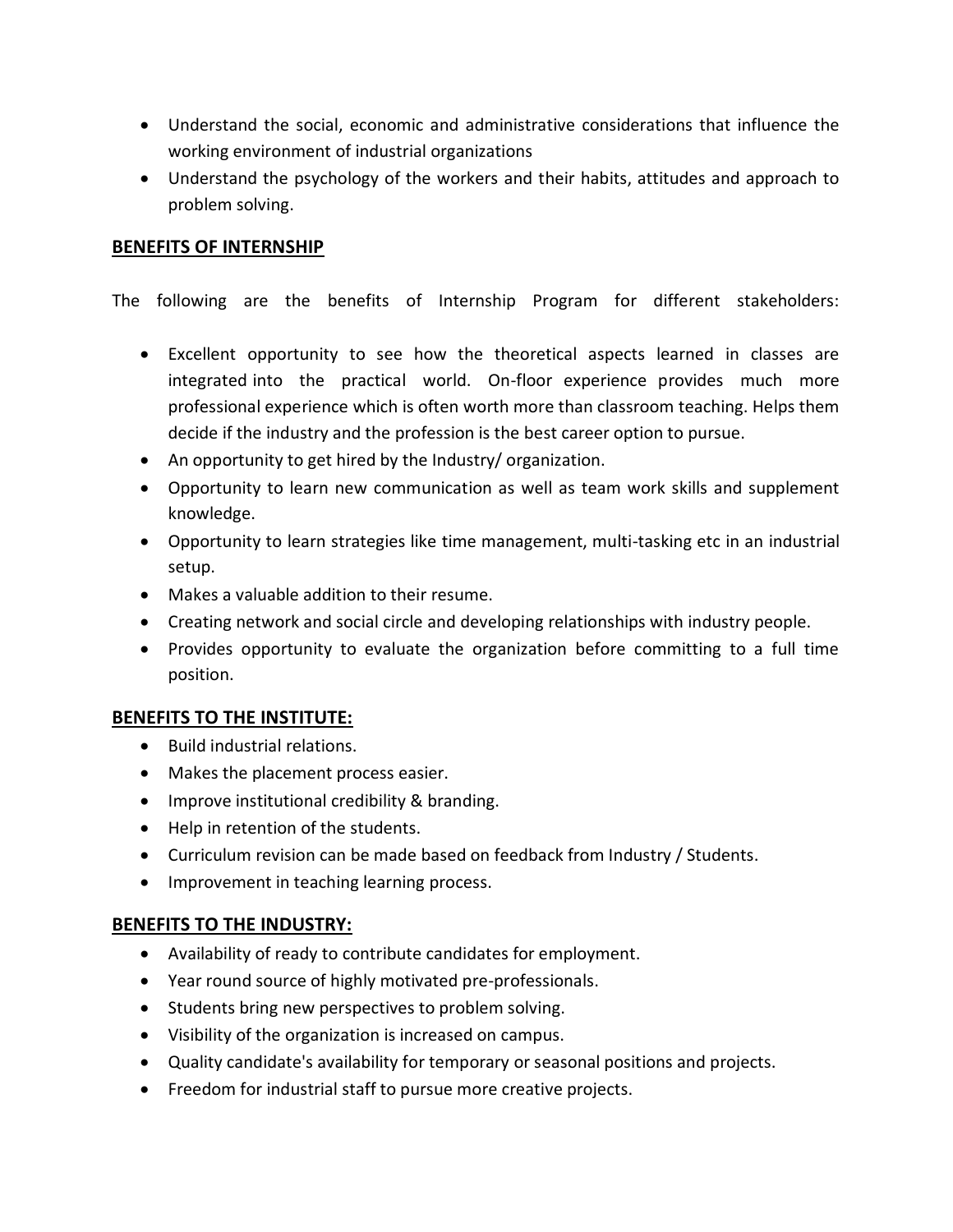- Understand the social, economic and administrative considerations that influence the working environment of industrial organizations
- Understand the psychology of the workers and their habits, attitudes and approach to problem solving.

## **BENEFITS OF INTERNSHIP**

The following are the benefits of Internship Program for different stakeholders:

- Excellent opportunity to see how the theoretical aspects learned in classes are integrated into the practical world. On-floor experience provides much more professional experience which is often worth more than classroom teaching. Helps them decide if the industry and the profession is the best career option to pursue.
- An opportunity to get hired by the Industry/ organization.
- Opportunity to learn new communication as well as team work skills and supplement knowledge.
- Opportunity to learn strategies like time management, multi-tasking etc in an industrial setup.
- Makes a valuable addition to their resume.
- Creating network and social circle and developing relationships with industry people.
- Provides opportunity to evaluate the organization before committing to a full time position.

#### **BENEFITS TO THE INSTITUTE:**

- Build industrial relations.
- Makes the placement process easier.
- Improve institutional credibility & branding.
- Help in retention of the students.
- Curriculum revision can be made based on feedback from Industry / Students.
- Improvement in teaching learning process.

#### **BENEFITS TO THE INDUSTRY:**

- Availability of ready to contribute candidates for employment.
- Year round source of highly motivated pre-professionals.
- Students bring new perspectives to problem solving.
- Visibility of the organization is increased on campus.
- Quality candidate's availability for temporary or seasonal positions and projects.
- Freedom for industrial staff to pursue more creative projects.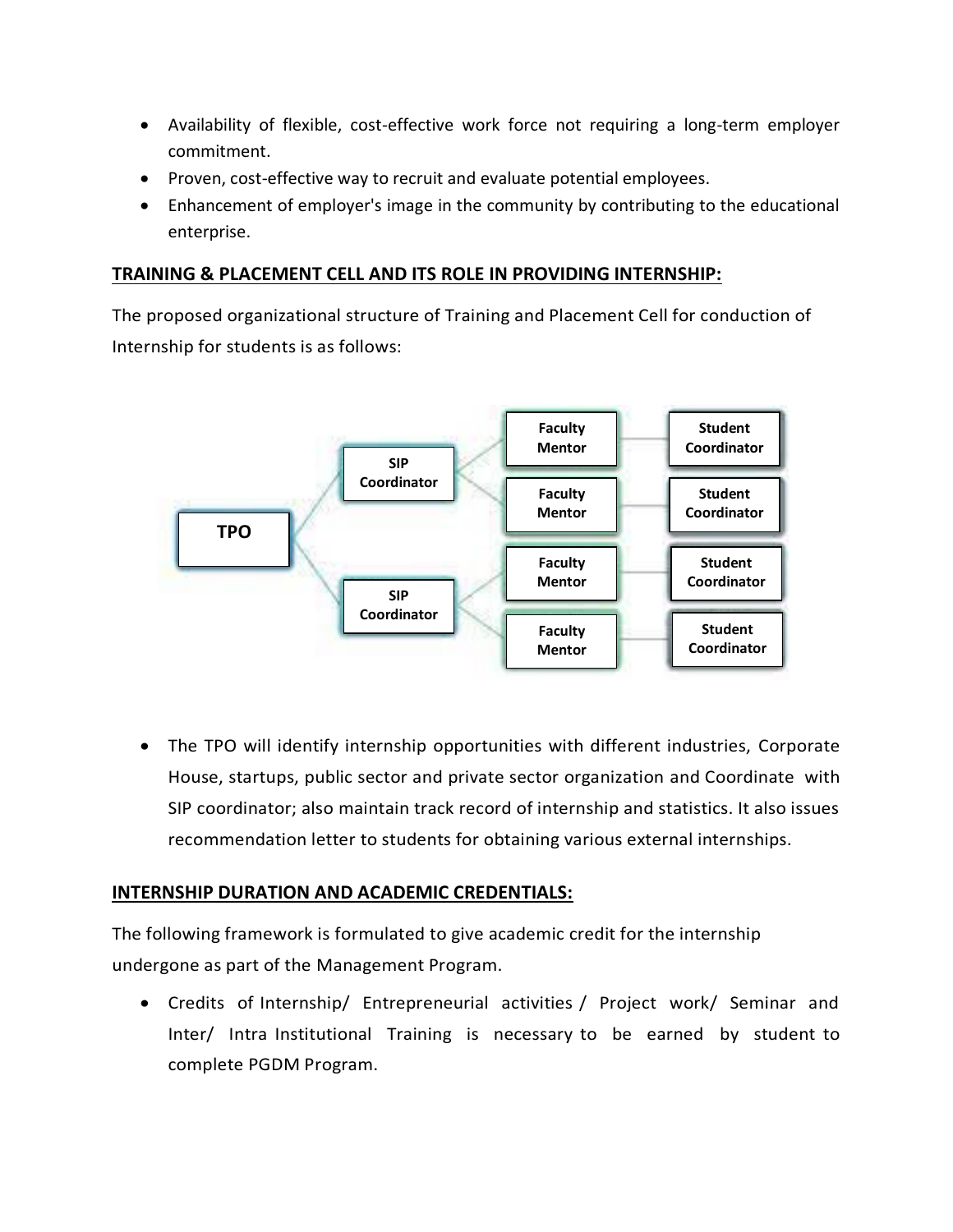- Availability of flexible, cost-effective work force not requiring a long-term employer commitment.
- Proven, cost-effective way to recruit and evaluate potential employees.
- Enhancement of employer's image in the community by contributing to the educational enterprise.

## **TRAINING & PLACEMENT CELL AND ITS ROLE IN PROVIDING INTERNSHIP:**

The proposed organizational structure of Training and Placement Cell for conduction of Internship for students is as follows:



 The TPO will identify internship opportunities with different industries, Corporate House, startups, public sector and private sector organization and Coordinate with SIP coordinator; also maintain track record of internship and statistics. It also issues recommendation letter to students for obtaining various external internships.

# **INTERNSHIP DURATION AND ACADEMIC CREDENTIALS:**

The following framework is formulated to give academic credit for the internship undergone as part of the Management Program.

 Credits of Internship/ Entrepreneurial activities / Project work/ Seminar and Inter/ Intra Institutional Training is necessary to be earned by student to complete PGDM Program.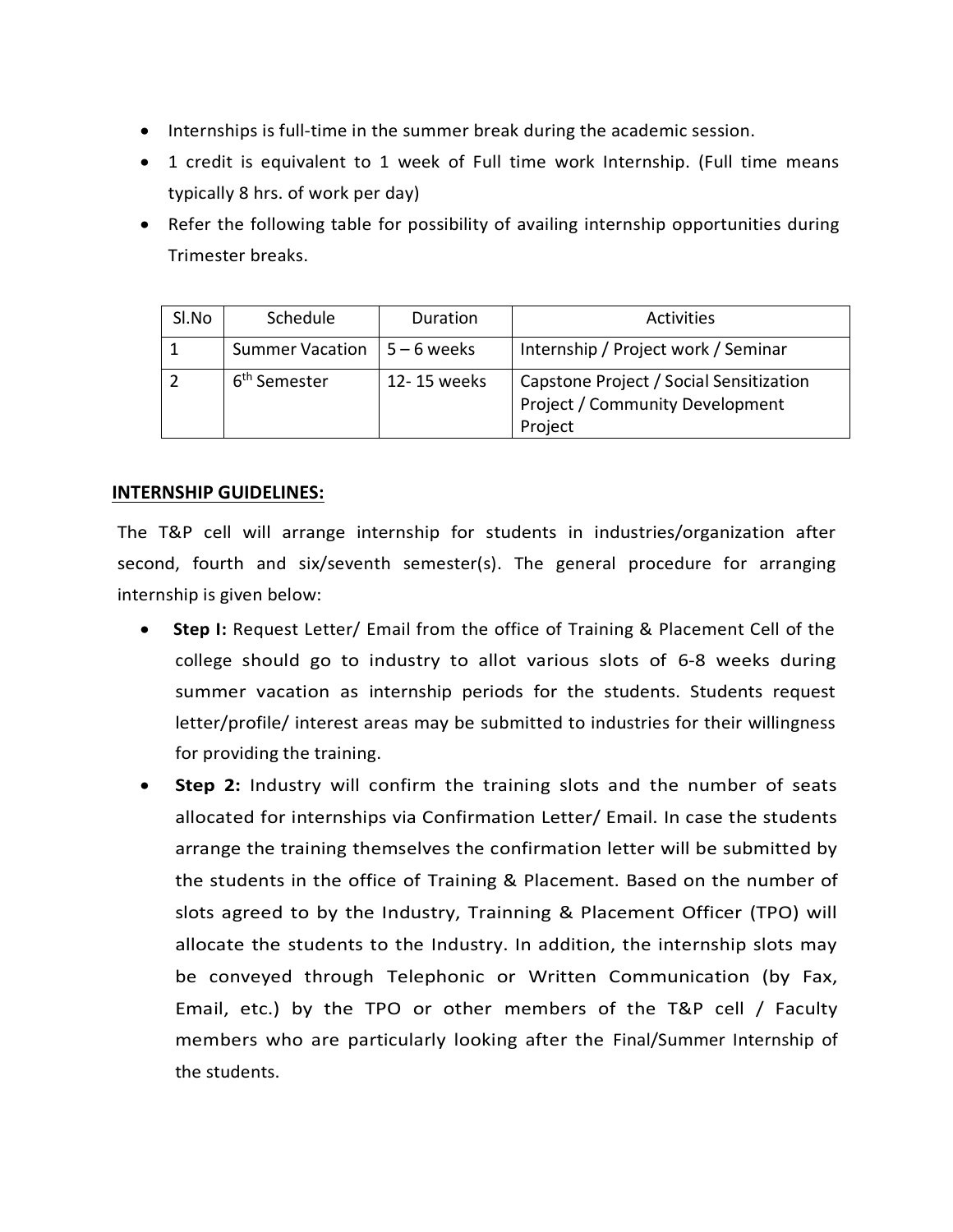- Internships is full-time in the summer break during the academic session.
- 1 credit is equivalent to 1 week of Full time work Internship. (Full time means typically 8 hrs. of work per day)
- Refer the following table for possibility of availing internship opportunities during Trimester breaks.

| Sl.No | Schedule                 | Duration      | <b>Activities</b>                                                                            |
|-------|--------------------------|---------------|----------------------------------------------------------------------------------------------|
|       | Summer Vacation          | $5 - 6$ weeks | Internship / Project work / Seminar                                                          |
|       | 6 <sup>th</sup> Semester | 12-15 weeks   | Capstone Project / Social Sensitization<br><b>Project / Community Development</b><br>Project |

# **INTERNSHIP GUIDELINES:**

The T&P cell will arrange internship for students in industries/organization after second, fourth and six/seventh semester(s). The general procedure for arranging internship is given below:

- **Step I:** Request Letter/ Email from the office of Training & Placement Cell of the college should go to industry to allot various slots of 6-8 weeks during summer vacation as internship periods for the students. Students request letter/profile/ interest areas may be submitted to industries for their willingness for providing the training.
- **Step 2:** Industry will confirm the training slots and the number of seats allocated for internships via Confirmation Letter/ Email. In case the students arrange the training themselves the confirmation letter will be submitted by the students in the office of Training & Placement. Based on the number of slots agreed to by the Industry, Trainning & Placement Officer (TPO) will allocate the students to the Industry. In addition, the internship slots may be conveyed through Telephonic or Written Communication (by Fax, Email, etc.) by the TPO or other members of the T&P cell / Faculty members who are particularly looking after the Final/Summer Internship of the students.